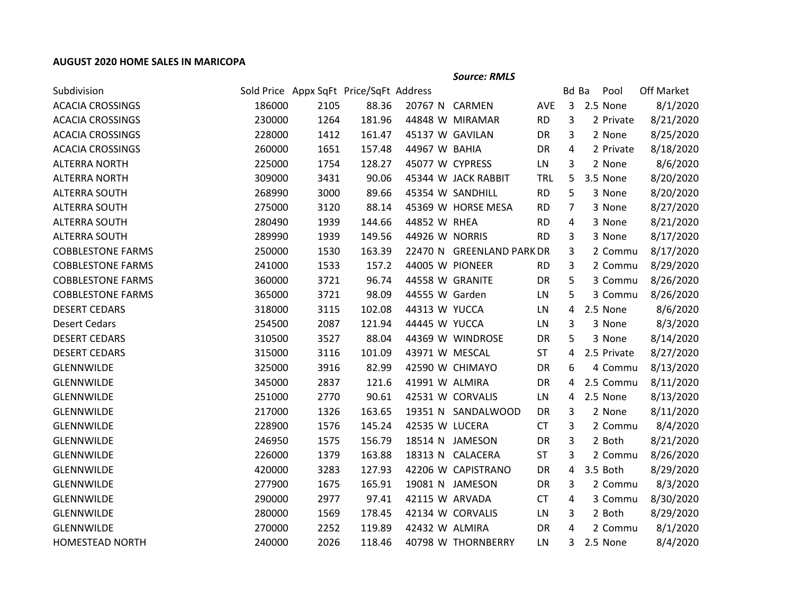## **AUGUST 2020 HOME SALES IN MARICOPA**

*Source: RMLS*

| Subdivision              |        |      | Sold Price Appx SqFt Price/SqFt Address |                 |                           |            | Bd Ba          | Pool        | Off Market |
|--------------------------|--------|------|-----------------------------------------|-----------------|---------------------------|------------|----------------|-------------|------------|
| <b>ACACIA CROSSINGS</b>  | 186000 | 2105 | 88.36                                   | 20767 N CARMEN  |                           | AVE        | $\overline{3}$ | 2.5 None    | 8/1/2020   |
| <b>ACACIA CROSSINGS</b>  | 230000 | 1264 | 181.96                                  |                 | 44848 W MIRAMAR           | <b>RD</b>  | 3              | 2 Private   | 8/21/2020  |
| <b>ACACIA CROSSINGS</b>  | 228000 | 1412 | 161.47                                  | 45137 W GAVILAN |                           | DR         | 3              | 2 None      | 8/25/2020  |
| <b>ACACIA CROSSINGS</b>  | 260000 | 1651 | 157.48                                  | 44967 W BAHIA   |                           | DR         | 4              | 2 Private   | 8/18/2020  |
| <b>ALTERRA NORTH</b>     | 225000 | 1754 | 128.27                                  | 45077 W CYPRESS |                           | LN         | 3              | 2 None      | 8/6/2020   |
| <b>ALTERRA NORTH</b>     | 309000 | 3431 | 90.06                                   |                 | 45344 W JACK RABBIT       | <b>TRL</b> | 5              | 3.5 None    | 8/20/2020  |
| <b>ALTERRA SOUTH</b>     | 268990 | 3000 | 89.66                                   |                 | 45354 W SANDHILL          | <b>RD</b>  | 5              | 3 None      | 8/20/2020  |
| <b>ALTERRA SOUTH</b>     | 275000 | 3120 | 88.14                                   |                 | 45369 W HORSE MESA        | <b>RD</b>  | $\overline{7}$ | 3 None      | 8/27/2020  |
| <b>ALTERRA SOUTH</b>     | 280490 | 1939 | 144.66                                  | 44852 W RHEA    |                           | <b>RD</b>  | 4              | 3 None      | 8/21/2020  |
| <b>ALTERRA SOUTH</b>     | 289990 | 1939 | 149.56                                  | 44926 W NORRIS  |                           | <b>RD</b>  | 3              | 3 None      | 8/17/2020  |
| <b>COBBLESTONE FARMS</b> | 250000 | 1530 | 163.39                                  |                 | 22470 N GREENLAND PARK DR |            | 3              | 2 Commu     | 8/17/2020  |
| <b>COBBLESTONE FARMS</b> | 241000 | 1533 | 157.2                                   | 44005 W PIONEER |                           | <b>RD</b>  | 3              | 2 Commu     | 8/29/2020  |
| <b>COBBLESTONE FARMS</b> | 360000 | 3721 | 96.74                                   | 44558 W GRANITE |                           | DR         | 5              | 3 Commu     | 8/26/2020  |
| <b>COBBLESTONE FARMS</b> | 365000 | 3721 | 98.09                                   | 44555 W Garden  |                           | LN         | 5              | 3 Commu     | 8/26/2020  |
| <b>DESERT CEDARS</b>     | 318000 | 3115 | 102.08                                  | 44313 W YUCCA   |                           | LN         | 4              | 2.5 None    | 8/6/2020   |
| <b>Desert Cedars</b>     | 254500 | 2087 | 121.94                                  | 44445 W YUCCA   |                           | LN         | 3              | 3 None      | 8/3/2020   |
| <b>DESERT CEDARS</b>     | 310500 | 3527 | 88.04                                   |                 | 44369 W WINDROSE          | DR         | 5              | 3 None      | 8/14/2020  |
| <b>DESERT CEDARS</b>     | 315000 | 3116 | 101.09                                  | 43971 W MESCAL  |                           | <b>ST</b>  | 4              | 2.5 Private | 8/27/2020  |
| <b>GLENNWILDE</b>        | 325000 | 3916 | 82.99                                   |                 | 42590 W CHIMAYO           | DR         | 6              | 4 Commu     | 8/13/2020  |
| <b>GLENNWILDE</b>        | 345000 | 2837 | 121.6                                   | 41991 W ALMIRA  |                           | DR         | 4              | 2.5 Commu   | 8/11/2020  |
| <b>GLENNWILDE</b>        | 251000 | 2770 | 90.61                                   |                 | 42531 W CORVALIS          | LN         | 4              | 2.5 None    | 8/13/2020  |
| <b>GLENNWILDE</b>        | 217000 | 1326 | 163.65                                  |                 | 19351 N SANDALWOOD        | DR         | 3              | 2 None      | 8/11/2020  |
| <b>GLENNWILDE</b>        | 228900 | 1576 | 145.24                                  | 42535 W LUCERA  |                           | <b>CT</b>  | 3              | 2 Commu     | 8/4/2020   |
| <b>GLENNWILDE</b>        | 246950 | 1575 | 156.79                                  |                 | 18514 N JAMESON           | DR         | 3              | 2 Both      | 8/21/2020  |
| GLENNWILDE               | 226000 | 1379 | 163.88                                  |                 | 18313 N CALACERA          | <b>ST</b>  | 3              | 2 Commu     | 8/26/2020  |
| <b>GLENNWILDE</b>        | 420000 | 3283 | 127.93                                  |                 | 42206 W CAPISTRANO        | DR         | 4              | 3.5 Both    | 8/29/2020  |
| <b>GLENNWILDE</b>        | 277900 | 1675 | 165.91                                  |                 | 19081 N JAMESON           | DR         | 3              | 2 Commu     | 8/3/2020   |
| <b>GLENNWILDE</b>        | 290000 | 2977 | 97.41                                   | 42115 W ARVADA  |                           | <b>CT</b>  | 4              | 3 Commu     | 8/30/2020  |
| <b>GLENNWILDE</b>        | 280000 | 1569 | 178.45                                  |                 | 42134 W CORVALIS          | LN         | 3              | 2 Both      | 8/29/2020  |
| <b>GLENNWILDE</b>        | 270000 | 2252 | 119.89                                  | 42432 W ALMIRA  |                           | DR         | 4              | 2 Commu     | 8/1/2020   |
| <b>HOMESTEAD NORTH</b>   | 240000 | 2026 | 118.46                                  |                 | 40798 W THORNBERRY        | LN         | 3              | 2.5 None    | 8/4/2020   |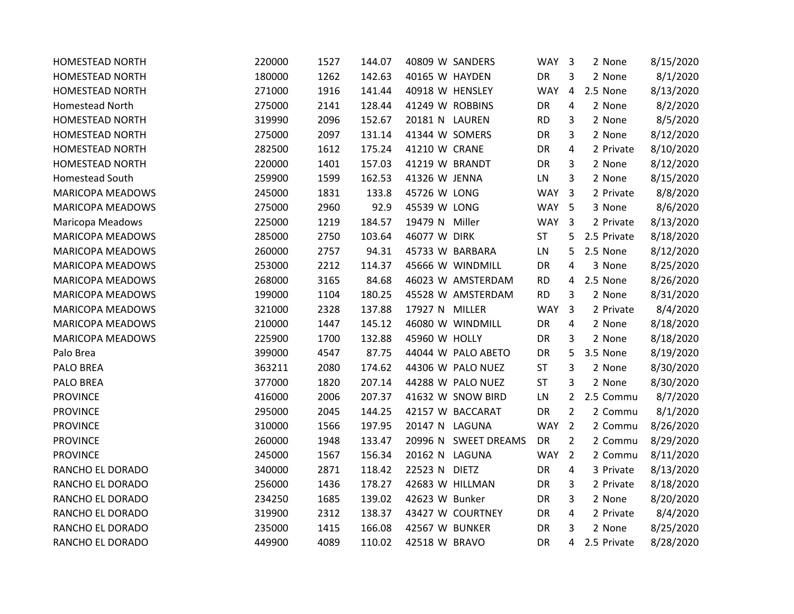| <b>HOMESTEAD NORTH</b>  | 220000 | 1527 | 144.07 | 40809 W SANDERS      | WAY        | $\overline{\mathbf{3}}$ | 2 None      | 8/15/2020 |
|-------------------------|--------|------|--------|----------------------|------------|-------------------------|-------------|-----------|
| <b>HOMESTEAD NORTH</b>  | 180000 | 1262 | 142.63 | 40165 W HAYDEN       | DR         | 3                       | 2 None      | 8/1/2020  |
| <b>HOMESTEAD NORTH</b>  | 271000 | 1916 | 141.44 | 40918 W HENSLEY      | <b>WAY</b> | 4                       | 2.5 None    | 8/13/2020 |
| Homestead North         | 275000 | 2141 | 128.44 | 41249 W ROBBINS      | DR         | 4                       | 2 None      | 8/2/2020  |
| HOMESTEAD NORTH         | 319990 | 2096 | 152.67 | 20181 N LAUREN       | <b>RD</b>  | 3                       | 2 None      | 8/5/2020  |
| <b>HOMESTEAD NORTH</b>  | 275000 | 2097 | 131.14 | 41344 W SOMERS       | DR         | 3                       | 2 None      | 8/12/2020 |
| <b>HOMESTEAD NORTH</b>  | 282500 | 1612 | 175.24 | 41210 W CRANE        | DR         | 4                       | 2 Private   | 8/10/2020 |
| HOMESTEAD NORTH         | 220000 | 1401 | 157.03 | 41219 W BRANDT       | DR         | 3                       | 2 None      | 8/12/2020 |
| Homestead South         | 259900 | 1599 | 162.53 | 41326 W JENNA        | LN         | 3                       | 2 None      | 8/15/2020 |
| <b>MARICOPA MEADOWS</b> | 245000 | 1831 | 133.8  | 45726 W LONG         | <b>WAY</b> | $\overline{3}$          | 2 Private   | 8/8/2020  |
| MARICOPA MEADOWS        | 275000 | 2960 | 92.9   | 45539 W LONG         | WAY 5      |                         | 3 None      | 8/6/2020  |
| <b>Maricopa Meadows</b> | 225000 | 1219 | 184.57 | 19479 N Miller       | WAY 3      |                         | 2 Private   | 8/13/2020 |
| <b>MARICOPA MEADOWS</b> | 285000 | 2750 | 103.64 | 46077 W DIRK         | <b>ST</b>  | 5                       | 2.5 Private | 8/18/2020 |
| MARICOPA MEADOWS        | 260000 | 2757 | 94.31  | 45733 W BARBARA      | LN         | 5                       | 2.5 None    | 8/12/2020 |
| <b>MARICOPA MEADOWS</b> | 253000 | 2212 | 114.37 | 45666 W WINDMILL     | DR         | 4                       | 3 None      | 8/25/2020 |
| MARICOPA MEADOWS        | 268000 | 3165 | 84.68  | 46023 W AMSTERDAM    | <b>RD</b>  | 4                       | 2.5 None    | 8/26/2020 |
| <b>MARICOPA MEADOWS</b> | 199000 | 1104 | 180.25 | 45528 W AMSTERDAM    | <b>RD</b>  | 3                       | 2 None      | 8/31/2020 |
| <b>MARICOPA MEADOWS</b> | 321000 | 2328 | 137.88 | 17927 N MILLER       | <b>WAY</b> | $\overline{3}$          | 2 Private   | 8/4/2020  |
| <b>MARICOPA MEADOWS</b> | 210000 | 1447 | 145.12 | 46080 W WINDMILL     | DR         | 4                       | 2 None      | 8/18/2020 |
| <b>MARICOPA MEADOWS</b> | 225900 | 1700 | 132.88 | 45960 W HOLLY        | DR         | 3                       | 2 None      | 8/18/2020 |
| Palo Brea               | 399000 | 4547 | 87.75  | 44044 W PALO ABETO   | DR         | 5                       | 3.5 None    | 8/19/2020 |
| PALO BREA               | 363211 | 2080 | 174.62 | 44306 W PALO NUEZ    | <b>ST</b>  | 3                       | 2 None      | 8/30/2020 |
| PALO BREA               | 377000 | 1820 | 207.14 | 44288 W PALO NUEZ    | ST         | 3                       | 2 None      | 8/30/2020 |
| <b>PROVINCE</b>         | 416000 | 2006 | 207.37 | 41632 W SNOW BIRD    | LN         | $\overline{2}$          | 2.5 Commu   | 8/7/2020  |
| <b>PROVINCE</b>         | 295000 | 2045 | 144.25 | 42157 W BACCARAT     | DR         | $\overline{2}$          | 2 Commu     | 8/1/2020  |
| <b>PROVINCE</b>         | 310000 | 1566 | 197.95 | 20147 N LAGUNA       | <b>WAY</b> | $\overline{2}$          | 2 Commu     | 8/26/2020 |
| <b>PROVINCE</b>         | 260000 | 1948 | 133.47 | 20996 N SWEET DREAMS | DR         | $\overline{2}$          | 2 Commu     | 8/29/2020 |
| <b>PROVINCE</b>         | 245000 | 1567 | 156.34 | 20162 N LAGUNA       | <b>WAY</b> | $\overline{2}$          | 2 Commu     | 8/11/2020 |
| RANCHO EL DORADO        | 340000 | 2871 | 118.42 | 22523 N DIETZ        | DR         | 4                       | 3 Private   | 8/13/2020 |
| RANCHO EL DORADO        | 256000 | 1436 | 178.27 | 42683 W HILLMAN      | DR         | 3                       | 2 Private   | 8/18/2020 |
| RANCHO EL DORADO        | 234250 | 1685 | 139.02 | 42623 W Bunker       | DR         | 3                       | 2 None      | 8/20/2020 |
| RANCHO EL DORADO        | 319900 | 2312 | 138.37 | 43427 W COURTNEY     | DR         | 4                       | 2 Private   | 8/4/2020  |
| RANCHO EL DORADO        | 235000 | 1415 | 166.08 | 42567 W BUNKER       | DR         | 3                       | 2 None      | 8/25/2020 |
| RANCHO EL DORADO        | 449900 | 4089 | 110.02 | 42518 W BRAVO        | DR         | 4                       | 2.5 Private | 8/28/2020 |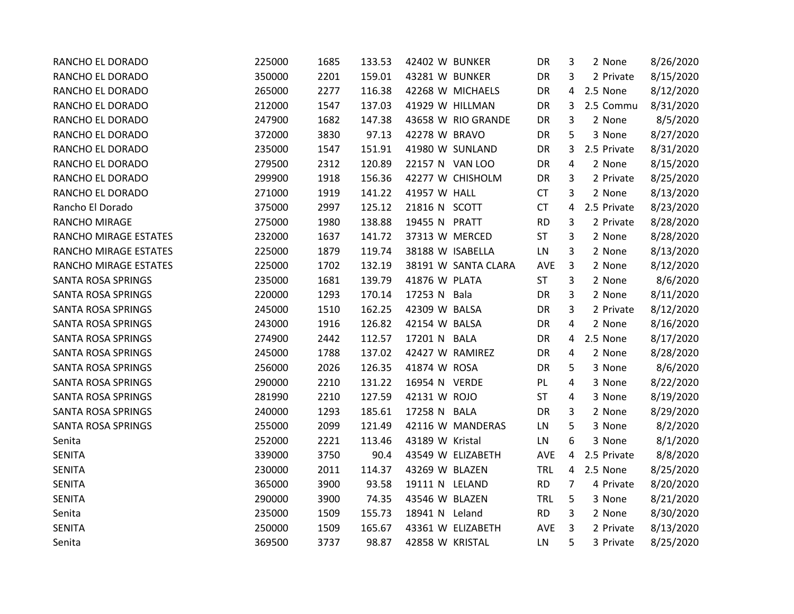| RANCHO EL DORADO          | 225000 | 1685 | 133.53 | 42402 W BUNKER      | DR         | 3              | 2 None      | 8/26/2020 |
|---------------------------|--------|------|--------|---------------------|------------|----------------|-------------|-----------|
| RANCHO EL DORADO          | 350000 | 2201 | 159.01 | 43281 W BUNKER      | DR         | 3              | 2 Private   | 8/15/2020 |
| RANCHO EL DORADO          | 265000 | 2277 | 116.38 | 42268 W MICHAELS    | DR         | 4              | 2.5 None    | 8/12/2020 |
| RANCHO EL DORADO          | 212000 | 1547 | 137.03 | 41929 W HILLMAN     | DR         | 3              | 2.5 Commu   | 8/31/2020 |
| RANCHO EL DORADO          | 247900 | 1682 | 147.38 | 43658 W RIO GRANDE  | DR         | 3              | 2 None      | 8/5/2020  |
| RANCHO EL DORADO          | 372000 | 3830 | 97.13  | 42278 W BRAVO       | DR         | 5              | 3 None      | 8/27/2020 |
| RANCHO EL DORADO          | 235000 | 1547 | 151.91 | 41980 W SUNLAND     | DR         | 3              | 2.5 Private | 8/31/2020 |
| RANCHO EL DORADO          | 279500 | 2312 | 120.89 | 22157 N VAN LOO     | DR         | 4              | 2 None      | 8/15/2020 |
| RANCHO EL DORADO          | 299900 | 1918 | 156.36 | 42277 W CHISHOLM    | DR         | 3              | 2 Private   | 8/25/2020 |
| RANCHO EL DORADO          | 271000 | 1919 | 141.22 | 41957 W HALL        | <b>CT</b>  | 3              | 2 None      | 8/13/2020 |
| Rancho El Dorado          | 375000 | 2997 | 125.12 | 21816 N SCOTT       | CT         | 4              | 2.5 Private | 8/23/2020 |
| RANCHO MIRAGE             | 275000 | 1980 | 138.88 | 19455 N PRATT       | <b>RD</b>  | 3              | 2 Private   | 8/28/2020 |
| RANCHO MIRAGE ESTATES     | 232000 | 1637 | 141.72 | 37313 W MERCED      | <b>ST</b>  | 3              | 2 None      | 8/28/2020 |
| RANCHO MIRAGE ESTATES     | 225000 | 1879 | 119.74 | 38188 W ISABELLA    | LN         | 3              | 2 None      | 8/13/2020 |
| RANCHO MIRAGE ESTATES     | 225000 | 1702 | 132.19 | 38191 W SANTA CLARA | AVE        | 3              | 2 None      | 8/12/2020 |
| SANTA ROSA SPRINGS        | 235000 | 1681 | 139.79 | 41876 W PLATA       | ST         | 3              | 2 None      | 8/6/2020  |
| <b>SANTA ROSA SPRINGS</b> | 220000 | 1293 | 170.14 | 17253 N Bala        | DR         | 3              | 2 None      | 8/11/2020 |
| <b>SANTA ROSA SPRINGS</b> | 245000 | 1510 | 162.25 | 42309 W BALSA       | DR         | 3              | 2 Private   | 8/12/2020 |
| SANTA ROSA SPRINGS        | 243000 | 1916 | 126.82 | 42154 W BALSA       | DR         | 4              | 2 None      | 8/16/2020 |
| <b>SANTA ROSA SPRINGS</b> | 274900 | 2442 | 112.57 | 17201 N BALA        | DR         | 4              | 2.5 None    | 8/17/2020 |
| <b>SANTA ROSA SPRINGS</b> | 245000 | 1788 | 137.02 | 42427 W RAMIREZ     | DR         | 4              | 2 None      | 8/28/2020 |
| <b>SANTA ROSA SPRINGS</b> | 256000 | 2026 | 126.35 | 41874 W ROSA        | DR         | 5              | 3 None      | 8/6/2020  |
| SANTA ROSA SPRINGS        | 290000 | 2210 | 131.22 | 16954 N VERDE       | PL         | 4              | 3 None      | 8/22/2020 |
| SANTA ROSA SPRINGS        | 281990 | 2210 | 127.59 | 42131 W ROJO        | ST         | 4              | 3 None      | 8/19/2020 |
| SANTA ROSA SPRINGS        | 240000 | 1293 | 185.61 | 17258 N BALA        | DR         | 3              | 2 None      | 8/29/2020 |
| SANTA ROSA SPRINGS        | 255000 | 2099 | 121.49 | 42116 W MANDERAS    | LN         | 5              | 3 None      | 8/2/2020  |
| Senita                    | 252000 | 2221 | 113.46 | 43189 W Kristal     | LN         | 6              | 3 None      | 8/1/2020  |
| <b>SENITA</b>             | 339000 | 3750 | 90.4   | 43549 W ELIZABETH   | AVE        | 4              | 2.5 Private | 8/8/2020  |
| <b>SENITA</b>             | 230000 | 2011 | 114.37 | 43269 W BLAZEN      | TRL        | 4              | 2.5 None    | 8/25/2020 |
| <b>SENITA</b>             | 365000 | 3900 | 93.58  | 19111 N LELAND      | <b>RD</b>  | $\overline{7}$ | 4 Private   | 8/20/2020 |
| <b>SENITA</b>             | 290000 | 3900 | 74.35  | 43546 W BLAZEN      | <b>TRL</b> | 5              | 3 None      | 8/21/2020 |
| Senita                    | 235000 | 1509 | 155.73 | 18941 N Leland      | <b>RD</b>  | 3              | 2 None      | 8/30/2020 |
| <b>SENITA</b>             | 250000 | 1509 | 165.67 | 43361 W ELIZABETH   | <b>AVE</b> | 3              | 2 Private   | 8/13/2020 |
| Senita                    | 369500 | 3737 | 98.87  | 42858 W KRISTAL     | LN         | 5              | 3 Private   | 8/25/2020 |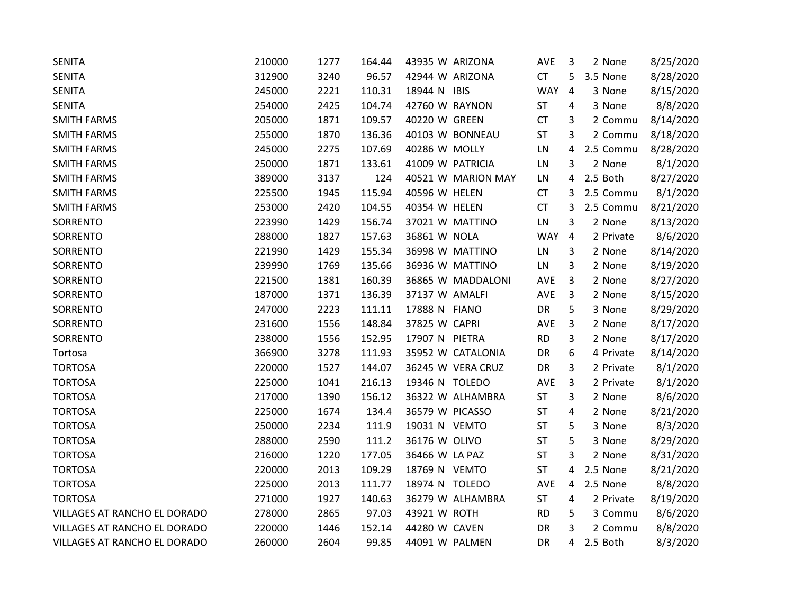| <b>SENITA</b>                | 210000 | 1277 | 164.44 | 43935 W ARIZONA    | AVE        | 3              | 2 None    | 8/25/2020 |
|------------------------------|--------|------|--------|--------------------|------------|----------------|-----------|-----------|
| <b>SENITA</b>                | 312900 | 3240 | 96.57  | 42944 W ARIZONA    | <b>CT</b>  | 5              | 3.5 None  | 8/28/2020 |
| <b>SENITA</b>                | 245000 | 2221 | 110.31 | 18944 N IBIS       | <b>WAY</b> | $\overline{4}$ | 3 None    | 8/15/2020 |
| <b>SENITA</b>                | 254000 | 2425 | 104.74 | 42760 W RAYNON     | <b>ST</b>  | 4              | 3 None    | 8/8/2020  |
| <b>SMITH FARMS</b>           | 205000 | 1871 | 109.57 | 40220 W GREEN      | <b>CT</b>  | 3              | 2 Commu   | 8/14/2020 |
| <b>SMITH FARMS</b>           | 255000 | 1870 | 136.36 | 40103 W BONNEAU    | <b>ST</b>  | 3              | 2 Commu   | 8/18/2020 |
| <b>SMITH FARMS</b>           | 245000 | 2275 | 107.69 | 40286 W MOLLY      | LN         | 4              | 2.5 Commu | 8/28/2020 |
| <b>SMITH FARMS</b>           | 250000 | 1871 | 133.61 | 41009 W PATRICIA   | LN         | 3              | 2 None    | 8/1/2020  |
| <b>SMITH FARMS</b>           | 389000 | 3137 | 124    | 40521 W MARION MAY | LN         | 4              | 2.5 Both  | 8/27/2020 |
| <b>SMITH FARMS</b>           | 225500 | 1945 | 115.94 | 40596 W HELEN      | <b>CT</b>  | 3              | 2.5 Commu | 8/1/2020  |
| <b>SMITH FARMS</b>           | 253000 | 2420 | 104.55 | 40354 W HELEN      | <b>CT</b>  | 3              | 2.5 Commu | 8/21/2020 |
| SORRENTO                     | 223990 | 1429 | 156.74 | 37021 W MATTINO    | LN         | 3              | 2 None    | 8/13/2020 |
| SORRENTO                     | 288000 | 1827 | 157.63 | 36861 W NOLA       | <b>WAY</b> | 4              | 2 Private | 8/6/2020  |
| SORRENTO                     | 221990 | 1429 | 155.34 | 36998 W MATTINO    | LN         | 3              | 2 None    | 8/14/2020 |
| SORRENTO                     | 239990 | 1769 | 135.66 | 36936 W MATTINO    | LN         | 3              | 2 None    | 8/19/2020 |
| SORRENTO                     | 221500 | 1381 | 160.39 | 36865 W MADDALONI  | AVE        | 3              | 2 None    | 8/27/2020 |
| SORRENTO                     | 187000 | 1371 | 136.39 | 37137 W AMALFI     | <b>AVE</b> | 3              | 2 None    | 8/15/2020 |
| SORRENTO                     | 247000 | 2223 | 111.11 | 17888 N FIANO      | DR         | 5              | 3 None    | 8/29/2020 |
| SORRENTO                     | 231600 | 1556 | 148.84 | 37825 W CAPRI      | AVE        | 3              | 2 None    | 8/17/2020 |
| SORRENTO                     | 238000 | 1556 | 152.95 | 17907 N PIETRA     | <b>RD</b>  | 3              | 2 None    | 8/17/2020 |
| Tortosa                      | 366900 | 3278 | 111.93 | 35952 W CATALONIA  | DR         | 6              | 4 Private | 8/14/2020 |
| <b>TORTOSA</b>               | 220000 | 1527 | 144.07 | 36245 W VERA CRUZ  | DR         | 3              | 2 Private | 8/1/2020  |
| <b>TORTOSA</b>               | 225000 | 1041 | 216.13 | 19346 N TOLEDO     | AVE        | 3              | 2 Private | 8/1/2020  |
| <b>TORTOSA</b>               | 217000 | 1390 | 156.12 | 36322 W ALHAMBRA   | <b>ST</b>  | 3              | 2 None    | 8/6/2020  |
| <b>TORTOSA</b>               | 225000 | 1674 | 134.4  | 36579 W PICASSO    | <b>ST</b>  | 4              | 2 None    | 8/21/2020 |
| <b>TORTOSA</b>               | 250000 | 2234 | 111.9  | 19031 N VEMTO      | <b>ST</b>  | 5              | 3 None    | 8/3/2020  |
| <b>TORTOSA</b>               | 288000 | 2590 | 111.2  | 36176 W OLIVO      | <b>ST</b>  | 5              | 3 None    | 8/29/2020 |
| <b>TORTOSA</b>               | 216000 | 1220 | 177.05 | 36466 W LA PAZ     | <b>ST</b>  | 3              | 2 None    | 8/31/2020 |
| <b>TORTOSA</b>               | 220000 | 2013 | 109.29 | 18769 N VEMTO      | <b>ST</b>  | 4              | 2.5 None  | 8/21/2020 |
| <b>TORTOSA</b>               | 225000 | 2013 | 111.77 | 18974 N TOLEDO     | AVE        | 4              | 2.5 None  | 8/8/2020  |
| <b>TORTOSA</b>               | 271000 | 1927 | 140.63 | 36279 W ALHAMBRA   | <b>ST</b>  | 4              | 2 Private | 8/19/2020 |
| VILLAGES AT RANCHO EL DORADO | 278000 | 2865 | 97.03  | 43921 W ROTH       | <b>RD</b>  | 5              | 3 Commu   | 8/6/2020  |
| VILLAGES AT RANCHO EL DORADO | 220000 | 1446 | 152.14 | 44280 W CAVEN      | DR         | 3              | 2 Commu   | 8/8/2020  |
| VILLAGES AT RANCHO EL DORADO | 260000 | 2604 | 99.85  | 44091 W PALMEN     | DR         | 4              | 2.5 Both  | 8/3/2020  |